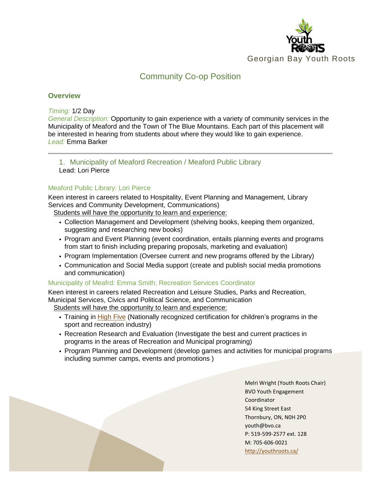

# Community Co-op Position

## **Overview**

#### *Timing:* 1/2 Day

*General Description:* Opportunity to gain experience with a variety of community services in the Municipality of Meaford and the Town of The Blue Mountains. Each part of this placement will be interested in hearing from students about where they would like to gain experience. *Lead:* Emma Barker

### 1. Municipality of Meaford Recreation / Meaford Public Library Lead: Lori Pierce

### Meaford Public Library: Lori Pierce

Keen interest in careers related to Hospitality, Event Planning and Management, Library Services and Community Development, Communications)

Students will have the opportunity to learn and experience:

- Collection Management and Development (shelving books, keeping them organized, suggesting and researching new books)
- Program and Event Planning (event coordination, entails planning events and programs from start to finish including preparing proposals, marketing and evaluation)
- Program Implementation (Oversee current and new programs offered by the Library)
- Communication and Social Media support (create and publish social media promotions and communication)

#### Municipality of Meafrd: Emma Smith; Recreation Services Coordinator

Keen interest in careers related Recreation and Leisure Studies, Parks and Recreation, Municipal Services, Civics and Political Science, and Communication Students will have the opportunity to learn and experience:

- Training in [High](https://www.highfive.org/) Five (Nationally recognized certification for children's programs in the sport and recreation industry)
- Recreation Research and Evaluation (Investigate the best and current practices in programs in the areas of Recreation and Municipal programing)
- Program Planning and Development (develop games and activities for municipal programs including summer camps, events and promotions )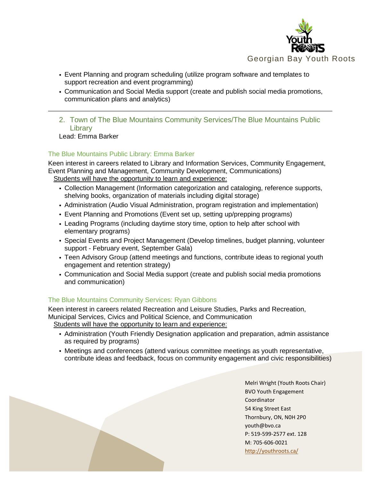

- Event Planning and program scheduling (utilize program software and templates to support recreation and event programming)
- Communication and Social Media support (create and publish social media promotions, communication plans and analytics)

2. Town of The Blue Mountains Community Services/The Blue Mountains Public **Library** 

Lead: Emma Barker

# The Blue Mountains Public Library: Emma Barker

Keen interest in careers related to Library and Information Services, Community Engagement, Event Planning and Management, Community Development, Communications) Students will have the opportunity to learn and experience:

- Collection Management (Information categorization and cataloging, reference supports, shelving books, organization of materials including digital storage)
- Administration (Audio Visual Administration, program registration and implementation)
- Event Planning and Promotions (Event set up, setting up/prepping programs)
- Leading Programs (including daytime story time, option to help after school with elementary programs)
- Special Events and Project Management (Develop timelines, budget planning, volunteer support - February event, September Gala)
- Teen Advisory Group (attend meetings and functions, contribute ideas to regional youth engagement and retention strategy)
- Communication and Social Media support (create and publish social media promotions and communication)

# The Blue Mountains Community Services: Ryan Gibbons

Keen interest in careers related Recreation and Leisure Studies, Parks and Recreation, Municipal Services, Civics and Political Science, and Communication Students will have the opportunity to learn and experience:

- Administration (Youth Friendly Designation application and preparation, admin assistance as required by programs)
- Meetings and conferences (attend various committee meetings as youth representative, contribute ideas and feedback, focus on community engagement and civic responsibilities)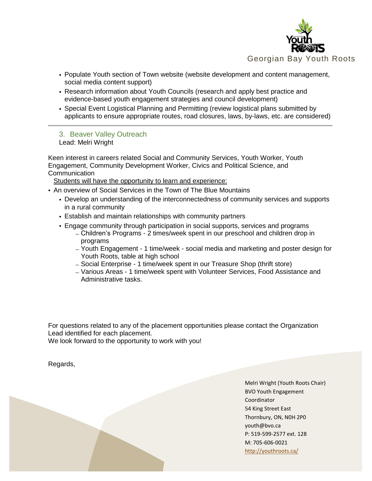

- Populate Youth section of Town website (website development and content management, social media content support)
- Research information about Youth Councils (research and apply best practice and evidence-based youth engagement strategies and council development)
- Special Event Logistical Planning and Permitting (review logistical plans submitted by applicants to ensure appropriate routes, road closures, laws, by-laws, etc. are considered)

3. Beaver Valley Outreach

Lead: Melri Wright

Keen interest in careers related Social and Community Services, Youth Worker, Youth Engagement, Community Development Worker, Civics and Political Science, and **Communication** 

Students will have the opportunity to learn and experience:

- An overview of Social Services in the Town of The Blue Mountains
	- Develop an understanding of the interconnectedness of community services and supports in a rural community
	- Establish and maintain relationships with community partners
	- Engage community through participation in social supports, services and programs
		- Children's Programs 2 times/week spent in our preschool and children drop in programs
		- Youth Engagement 1 time/week social media and marketing and poster design for Youth Roots, table at high school
		- Social Enterprise 1 time/week spent in our Treasure Shop (thrift store)
		- Various Areas 1 time/week spent with Volunteer Services, Food Assistance and Administrative tasks.

For questions related to any of the placement opportunities please contact the Organization Lead identified for each placement.

We look forward to the opportunity to work with you!

Regards,